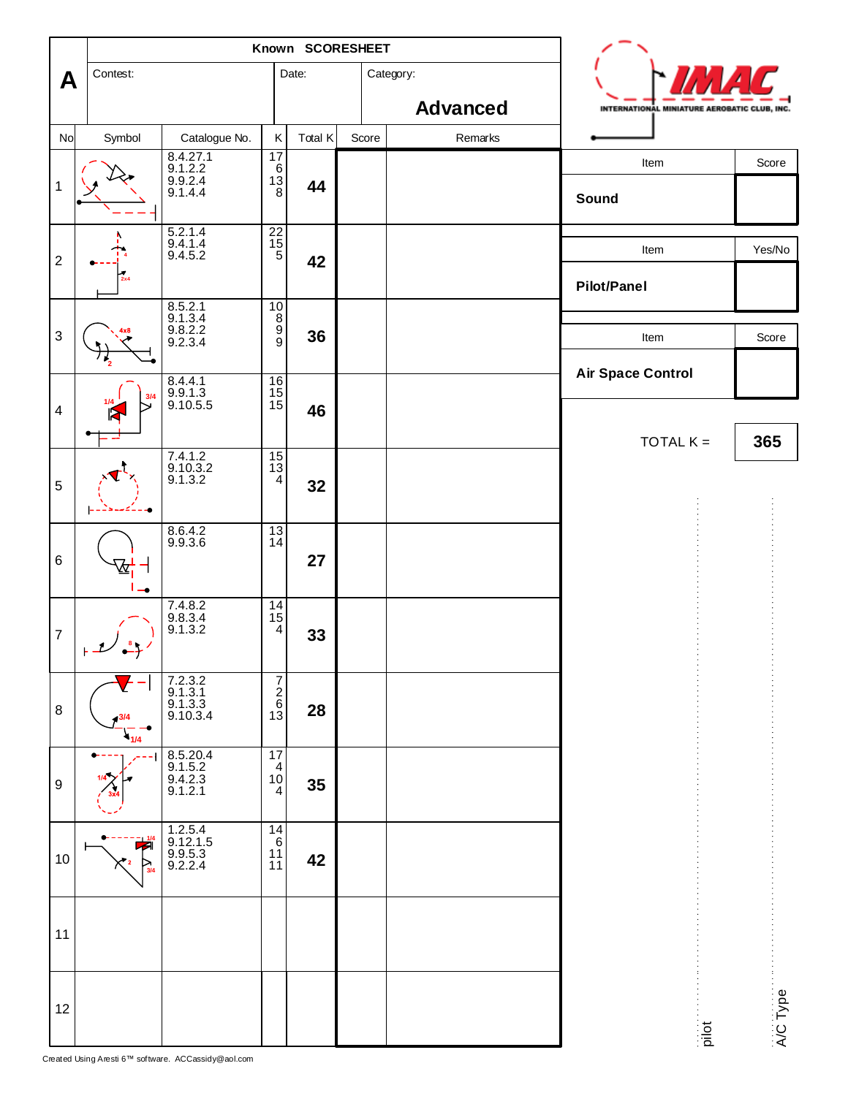|                           |          | Known SCORESHEET                          |                                                    |         |       |                 |                                              |          |  |
|---------------------------|----------|-------------------------------------------|----------------------------------------------------|---------|-------|-----------------|----------------------------------------------|----------|--|
| A                         | Contest: |                                           |                                                    | Date:   |       | Category:       |                                              |          |  |
|                           |          |                                           |                                                    |         |       | <b>Advanced</b> | INTERNATIONAL MINIATURE AEROBATIC CLUB, INC. |          |  |
| No                        | Symbol   | Catalogue No.                             | $\sf K$                                            | Total K | Score | Remarks         |                                              |          |  |
| $\mathbf{1}$              |          | 8.4.27.1<br>9.1.2.2<br>9.9.2.4<br>9.1.4.4 | 17<br>$\begin{bmatrix} 6 \\ 13 \\ 8 \end{bmatrix}$ | 44      |       |                 | Item<br>Sound                                | Score    |  |
| $\boldsymbol{2}$          | 2x4      | 5.2.1.4<br>$9.4.1.4$<br>$9.4.5.2$         | $\begin{array}{c}\n 22 \\  15 \\  5\n \end{array}$ | 42      |       |                 | Item<br><b>Pilot/Panel</b>                   | Yes/No   |  |
| $\ensuremath{\mathsf{3}}$ |          | 8.5.2.1<br>9.1.3.4<br>9.8.2.2<br>9.2.3.4  | $10\,$<br>$\frac{8}{9}$                            | 36      |       |                 | Item                                         | Score    |  |
| $\overline{\mathbf{4}}$   |          | 8.4.4.1<br>9.9.1.3<br>9.10.5.5            | 16<br>$\frac{15}{15}$                              | 46      |       |                 | <b>Air Space Control</b><br>TOTAL $K =$      | 365      |  |
| 5                         |          | 7.4.1.2<br>9.10.3.2<br>9.1.3.2            | $\frac{15}{13}$                                    | 32      |       |                 |                                              |          |  |
| $\,6$                     |          | 8.6.4.2<br>9.9.3.6                        | $\frac{13}{14}$                                    | 27      |       |                 |                                              |          |  |
| $\overline{7}$            |          | 7.4.8.2<br>9.8.3.4<br>9.1.3.2             | $\frac{14}{15}$<br>4                               | 33      |       |                 |                                              |          |  |
| 8                         | 1/4      | 7.2.3.2<br>9.1.3.1<br>9.1.3.3<br>9.10.3.4 | $\begin{array}{c}\n7 \\ 2 \\ 6 \\ 13\n\end{array}$ | 28      |       |                 |                                              |          |  |
| $\boldsymbol{9}$          |          | 8.5.20.4<br>9.1.5.2<br>9.4.2.3<br>9.1.2.1 | 17<br>$\overline{4}$<br>$10$<br>4                  | 35      |       |                 |                                              |          |  |
| 10                        |          | 1.2.5.4<br>9.12.1.5<br>9.9.5.3<br>9.2.2.4 | 14<br>$\,6\,$<br>11<br>11                          | 42      |       |                 |                                              |          |  |
| 11                        |          |                                           |                                                    |         |       |                 |                                              |          |  |
| 12                        |          |                                           |                                                    |         |       |                 | $\frac{1}{2}$                                | A/C Type |  |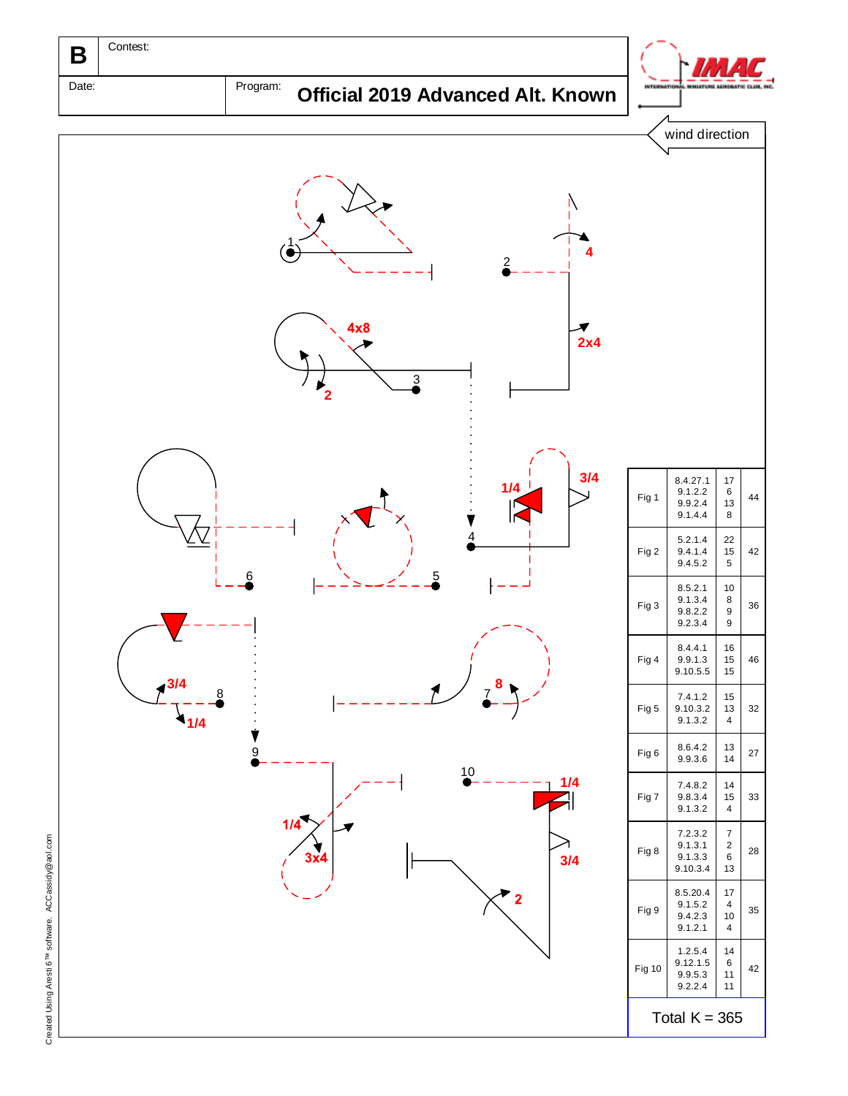

Created Using Aresti 6™ software. ACCassidy Created Using Aresti 6<sup>TM</sup> software. ACCassidy@aol.com